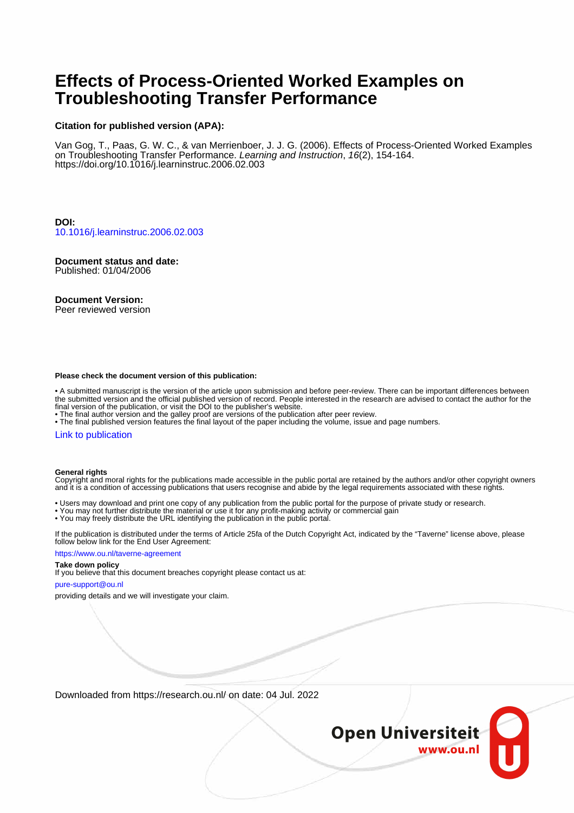# **Effects of Process-Oriented Worked Examples on Troubleshooting Transfer Performance**

#### **Citation for published version (APA):**

Van Gog, T., Paas, G. W. C., & van Merrienboer, J. J. G. (2006). Effects of Process-Oriented Worked Examples on Troubleshooting Transfer Performance. Learning and Instruction, 16(2), 154-164. <https://doi.org/10.1016/j.learninstruc.2006.02.003>

**DOI:** [10.1016/j.learninstruc.2006.02.003](https://doi.org/10.1016/j.learninstruc.2006.02.003)

## **Document status and date:**

Published: 01/04/2006

#### **Document Version:**

Peer reviewed version

#### **Please check the document version of this publication:**

• A submitted manuscript is the version of the article upon submission and before peer-review. There can be important differences between the submitted version and the official published version of record. People interested in the research are advised to contact the author for the final version of the publication, or visit the DOI to the publisher's website.

• The final author version and the galley proof are versions of the publication after peer review.

• The final published version features the final layout of the paper including the volume, issue and page numbers.

#### [Link to publication](https://research.ou.nl/en/publications/db9a6ad6-79b6-40a8-a753-bb85ed6a5637)

#### **General rights**

Copyright and moral rights for the publications made accessible in the public portal are retained by the authors and/or other copyright owners and it is a condition of accessing publications that users recognise and abide by the legal requirements associated with these rights.

- Users may download and print one copy of any publication from the public portal for the purpose of private study or research.
- You may not further distribute the material or use it for any profit-making activity or commercial gain
- You may freely distribute the URL identifying the publication in the public portal.

If the publication is distributed under the terms of Article 25fa of the Dutch Copyright Act, indicated by the "Taverne" license above, please follow below link for the End User Agreement:

#### https://www.ou.nl/taverne-agreement

#### **Take down policy**

If you believe that this document breaches copyright please contact us at:

#### pure-support@ou.nl

providing details and we will investigate your claim.

Downloaded from https://research.ou.nl/ on date: 04 Jul. 2022

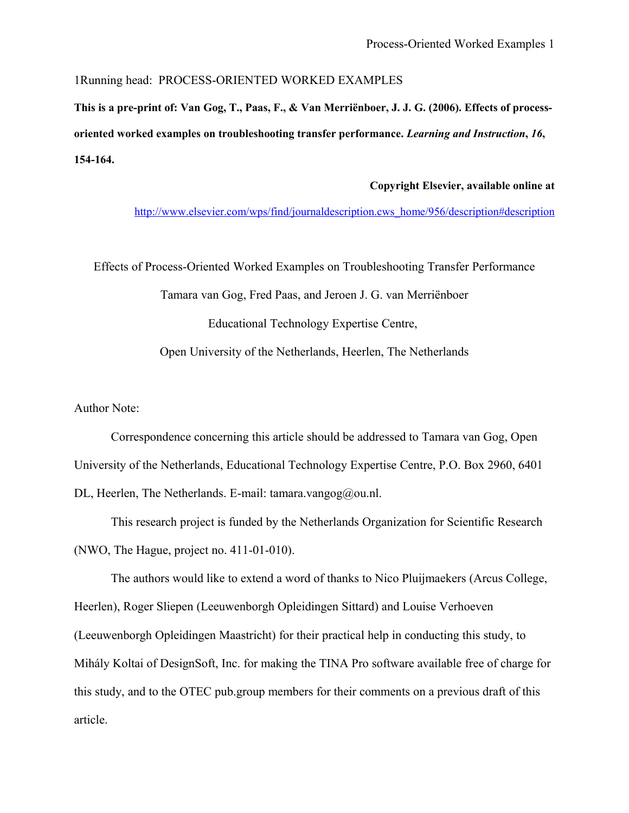1Running head: PROCESS-ORIENTED WORKED EXAMPLES

**This is a pre-print of: Van Gog, T., Paas, F., & Van Merriënboer, J. J. G. (2006). Effects of processoriented worked examples on troubleshooting transfer performance.** *Learning and Instruction***,** *16***, 154-164.**

### **Copyright Elsevier, available online at**

[http://www.elsevier.com/wps/find/journaldescription.cws\\_home/956/description#description](http://www.elsevier.com/wps/find/journaldescription.cws_home/956/description#description)

Effects of Process-Oriented Worked Examples on Troubleshooting Transfer Performance

Tamara van Gog, Fred Paas, and Jeroen J. G. van Merriënboer Educational Technology Expertise Centre, Open University of the Netherlands, Heerlen, The Netherlands

Author Note:

Correspondence concerning this article should be addressed to Tamara van Gog, Open University of the Netherlands, Educational Technology Expertise Centre, P.O. Box 2960, 6401 DL, Heerlen, The Netherlands. E-mail: tamara.vangog@ou.nl.

This research project is funded by the Netherlands Organization for Scientific Research (NWO, The Hague, project no. 411-01-010).

The authors would like to extend a word of thanks to Nico Pluijmaekers (Arcus College, Heerlen), Roger Sliepen (Leeuwenborgh Opleidingen Sittard) and Louise Verhoeven (Leeuwenborgh Opleidingen Maastricht) for their practical help in conducting this study, to Mihály Koltai of DesignSoft, Inc. for making the TINA Pro software available free of charge for this study, and to the OTEC pub.group members for their comments on a previous draft of this article.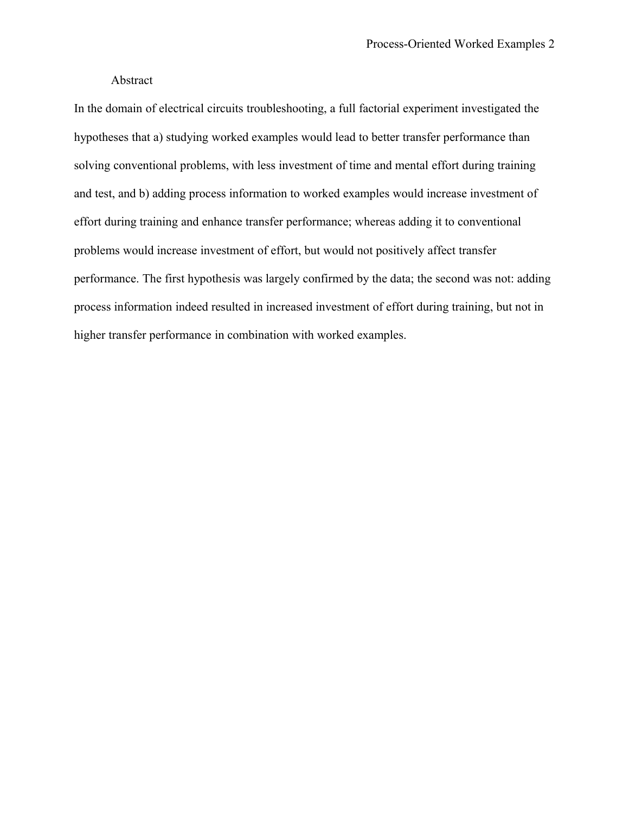### Abstract

In the domain of electrical circuits troubleshooting, a full factorial experiment investigated the hypotheses that a) studying worked examples would lead to better transfer performance than solving conventional problems, with less investment of time and mental effort during training and test, and b) adding process information to worked examples would increase investment of effort during training and enhance transfer performance; whereas adding it to conventional problems would increase investment of effort, but would not positively affect transfer performance. The first hypothesis was largely confirmed by the data; the second was not: adding process information indeed resulted in increased investment of effort during training, but not in higher transfer performance in combination with worked examples.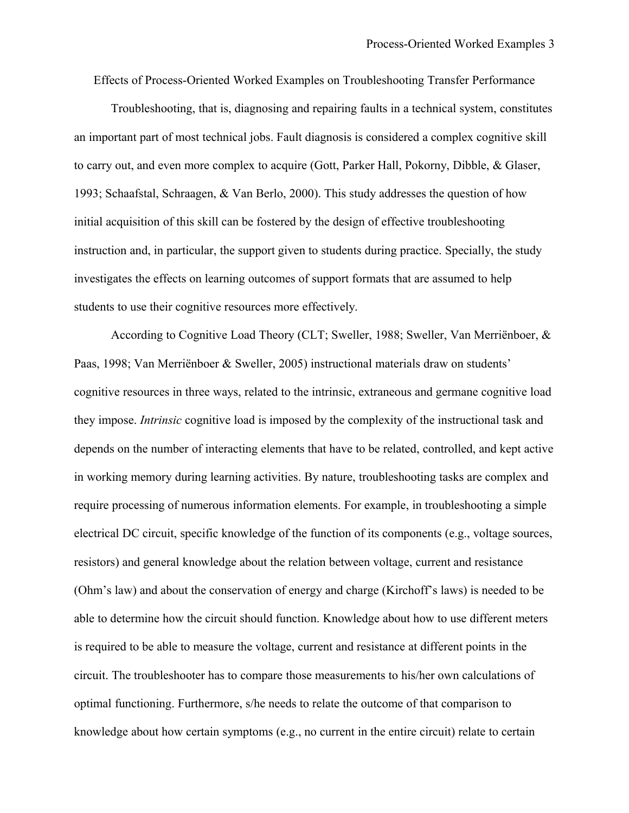Effects of Process-Oriented Worked Examples on Troubleshooting Transfer Performance

Troubleshooting, that is, diagnosing and repairing faults in a technical system, constitutes an important part of most technical jobs. Fault diagnosis is considered a complex cognitive skill to carry out, and even more complex to acquire (Gott, Parker Hall, Pokorny, Dibble, & Glaser, 1993; Schaafstal, Schraagen, & Van Berlo, 2000). This study addresses the question of how initial acquisition of this skill can be fostered by the design of effective troubleshooting instruction and, in particular, the support given to students during practice. Specially, the study investigates the effects on learning outcomes of support formats that are assumed to help students to use their cognitive resources more effectively.

According to Cognitive Load Theory (CLT; Sweller, 1988; Sweller, Van Merriënboer, & Paas, 1998; Van Merriënboer & Sweller, 2005) instructional materials draw on students' cognitive resources in three ways, related to the intrinsic, extraneous and germane cognitive load they impose. *Intrinsic* cognitive load is imposed by the complexity of the instructional task and depends on the number of interacting elements that have to be related, controlled, and kept active in working memory during learning activities. By nature, troubleshooting tasks are complex and require processing of numerous information elements. For example, in troubleshooting a simple electrical DC circuit, specific knowledge of the function of its components (e.g., voltage sources, resistors) and general knowledge about the relation between voltage, current and resistance (Ohm's law) and about the conservation of energy and charge (Kirchoff's laws) is needed to be able to determine how the circuit should function. Knowledge about how to use different meters is required to be able to measure the voltage, current and resistance at different points in the circuit. The troubleshooter has to compare those measurements to his/her own calculations of optimal functioning. Furthermore, s/he needs to relate the outcome of that comparison to knowledge about how certain symptoms (e.g., no current in the entire circuit) relate to certain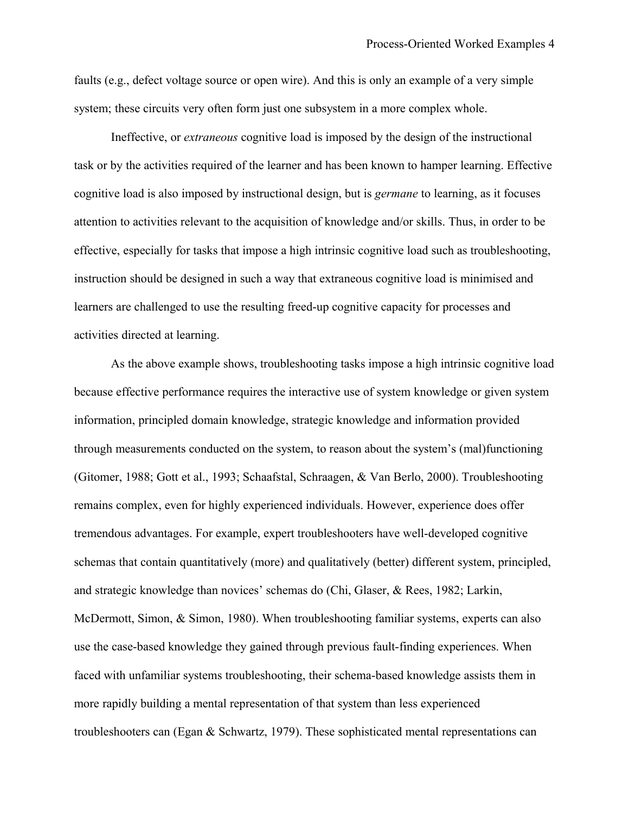faults (e.g., defect voltage source or open wire). And this is only an example of a very simple system; these circuits very often form just one subsystem in a more complex whole.

Ineffective, or *extraneous* cognitive load is imposed by the design of the instructional task or by the activities required of the learner and has been known to hamper learning. Effective cognitive load is also imposed by instructional design, but is *germane* to learning, as it focuses attention to activities relevant to the acquisition of knowledge and/or skills. Thus, in order to be effective, especially for tasks that impose a high intrinsic cognitive load such as troubleshooting, instruction should be designed in such a way that extraneous cognitive load is minimised and learners are challenged to use the resulting freed-up cognitive capacity for processes and activities directed at learning.

As the above example shows, troubleshooting tasks impose a high intrinsic cognitive load because effective performance requires the interactive use of system knowledge or given system information, principled domain knowledge, strategic knowledge and information provided through measurements conducted on the system, to reason about the system's (mal)functioning (Gitomer, 1988; Gott et al., 1993; Schaafstal, Schraagen, & Van Berlo, 2000). Troubleshooting remains complex, even for highly experienced individuals. However, experience does offer tremendous advantages. For example, expert troubleshooters have well-developed cognitive schemas that contain quantitatively (more) and qualitatively (better) different system, principled, and strategic knowledge than novices' schemas do (Chi, Glaser, & Rees, 1982; Larkin, McDermott, Simon, & Simon, 1980). When troubleshooting familiar systems, experts can also use the case-based knowledge they gained through previous fault-finding experiences. When faced with unfamiliar systems troubleshooting, their schema-based knowledge assists them in more rapidly building a mental representation of that system than less experienced troubleshooters can (Egan & Schwartz, 1979). These sophisticated mental representations can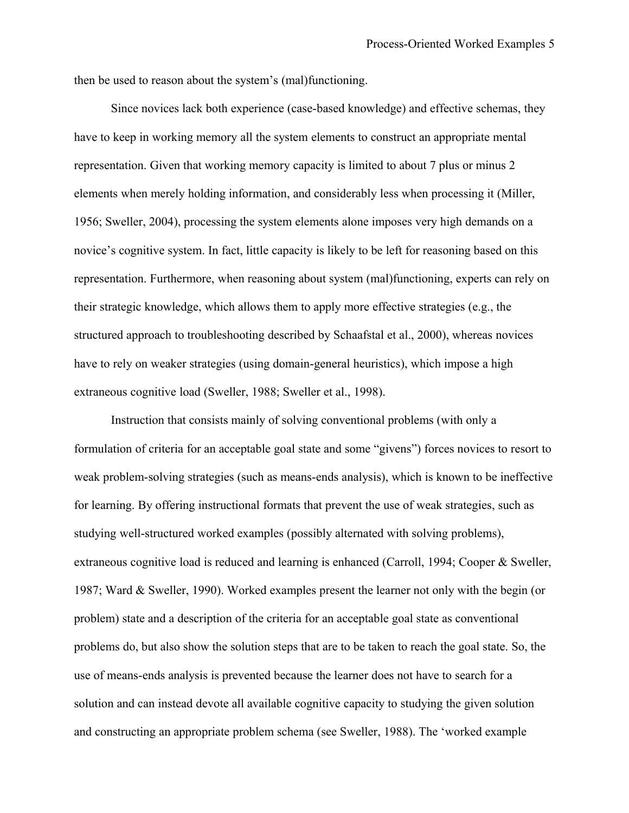then be used to reason about the system's (mal)functioning.

Since novices lack both experience (case-based knowledge) and effective schemas, they have to keep in working memory all the system elements to construct an appropriate mental representation. Given that working memory capacity is limited to about 7 plus or minus 2 elements when merely holding information, and considerably less when processing it (Miller, 1956; Sweller, 2004), processing the system elements alone imposes very high demands on a novice's cognitive system. In fact, little capacity is likely to be left for reasoning based on this representation. Furthermore, when reasoning about system (mal)functioning, experts can rely on their strategic knowledge, which allows them to apply more effective strategies (e.g., the structured approach to troubleshooting described by Schaafstal et al., 2000), whereas novices have to rely on weaker strategies (using domain-general heuristics), which impose a high extraneous cognitive load (Sweller, 1988; Sweller et al., 1998).

Instruction that consists mainly of solving conventional problems (with only a formulation of criteria for an acceptable goal state and some "givens") forces novices to resort to weak problem-solving strategies (such as means-ends analysis), which is known to be ineffective for learning. By offering instructional formats that prevent the use of weak strategies, such as studying well-structured worked examples (possibly alternated with solving problems), extraneous cognitive load is reduced and learning is enhanced (Carroll, 1994; Cooper & Sweller, 1987; Ward & Sweller, 1990). Worked examples present the learner not only with the begin (or problem) state and a description of the criteria for an acceptable goal state as conventional problems do, but also show the solution steps that are to be taken to reach the goal state. So, the use of means-ends analysis is prevented because the learner does not have to search for a solution and can instead devote all available cognitive capacity to studying the given solution and constructing an appropriate problem schema (see Sweller, 1988). The 'worked example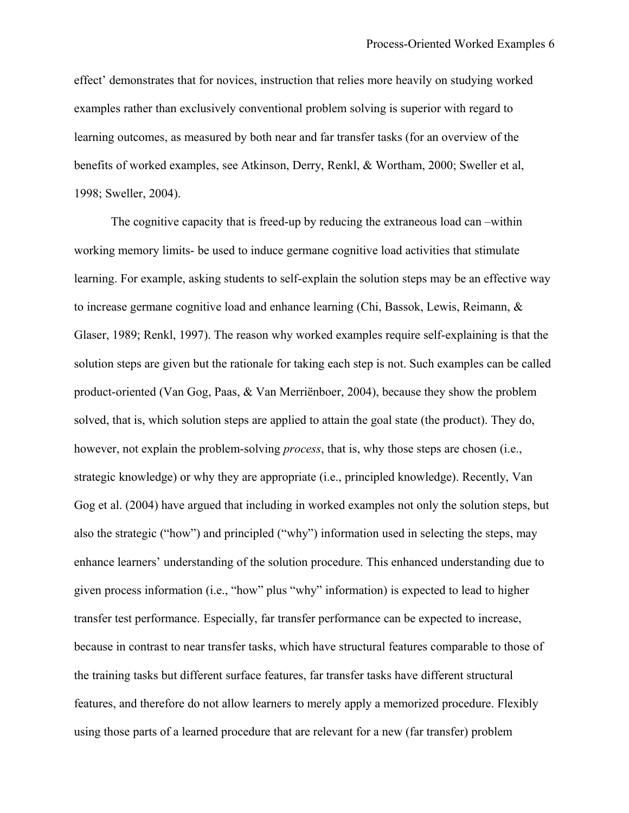effect' demonstrates that for novices, instruction that relies more heavily on studying worked examples rather than exclusively conventional problem solving is superior with regard to learning outcomes, as measured by both near and far transfer tasks (for an overview of the benefits of worked examples, see Atkinson, Derry, Renkl, & Wortham, 2000; Sweller et al, 1998; Sweller, 2004).

The cognitive capacity that is freed-up by reducing the extraneous load can –within working memory limits- be used to induce germane cognitive load activities that stimulate learning. For example, asking students to self-explain the solution steps may be an effective way to increase germane cognitive load and enhance learning (Chi, Bassok, Lewis, Reimann, & Glaser, 1989; Renkl, 1997). The reason why worked examples require self-explaining is that the solution steps are given but the rationale for taking each step is not. Such examples can be called product-oriented (Van Gog, Paas, & Van Merriënboer, 2004), because they show the problem solved, that is, which solution steps are applied to attain the goal state (the product). They do, however, not explain the problem-solving *process*, that is, why those steps are chosen (i.e., strategic knowledge) or why they are appropriate (i.e., principled knowledge). Recently, Van Gog et al. (2004) have argued that including in worked examples not only the solution steps, but also the strategic ("how") and principled ("why") information used in selecting the steps, may enhance learners' understanding of the solution procedure. This enhanced understanding due to given process information (i.e., "how" plus "why" information) is expected to lead to higher transfer test performance. Especially, far transfer performance can be expected to increase, because in contrast to near transfer tasks, which have structural features comparable to those of the training tasks but different surface features, far transfer tasks have different structural features, and therefore do not allow learners to merely apply a memorized procedure. Flexibly using those parts of a learned procedure that are relevant for a new (far transfer) problem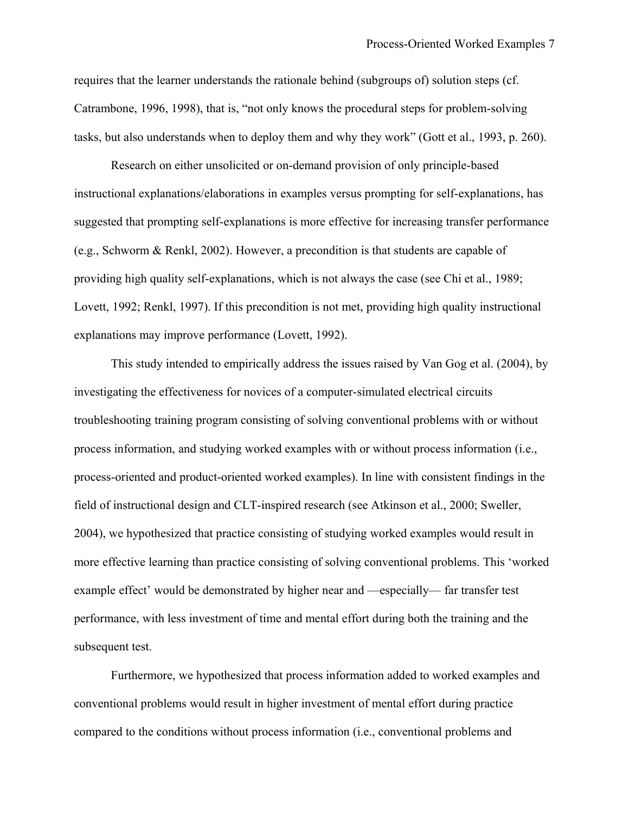requires that the learner understands the rationale behind (subgroups of) solution steps (cf. Catrambone, 1996, 1998), that is, "not only knows the procedural steps for problem-solving tasks, but also understands when to deploy them and why they work" (Gott et al., 1993, p. 260).

Research on either unsolicited or on-demand provision of only principle-based instructional explanations/elaborations in examples versus prompting for self-explanations, has suggested that prompting self-explanations is more effective for increasing transfer performance (e.g., Schworm & Renkl, 2002). However, a precondition is that students are capable of providing high quality self-explanations, which is not always the case (see Chi et al., 1989; Lovett, 1992; Renkl, 1997). If this precondition is not met, providing high quality instructional explanations may improve performance (Lovett, 1992).

This study intended to empirically address the issues raised by Van Gog et al. (2004), by investigating the effectiveness for novices of a computer-simulated electrical circuits troubleshooting training program consisting of solving conventional problems with or without process information, and studying worked examples with or without process information (i.e., process-oriented and product-oriented worked examples). In line with consistent findings in the field of instructional design and CLT-inspired research (see Atkinson et al., 2000; Sweller, 2004), we hypothesized that practice consisting of studying worked examples would result in more effective learning than practice consisting of solving conventional problems. This 'worked example effect' would be demonstrated by higher near and —especially— far transfer test performance, with less investment of time and mental effort during both the training and the subsequent test.

Furthermore, we hypothesized that process information added to worked examples and conventional problems would result in higher investment of mental effort during practice compared to the conditions without process information (i.e., conventional problems and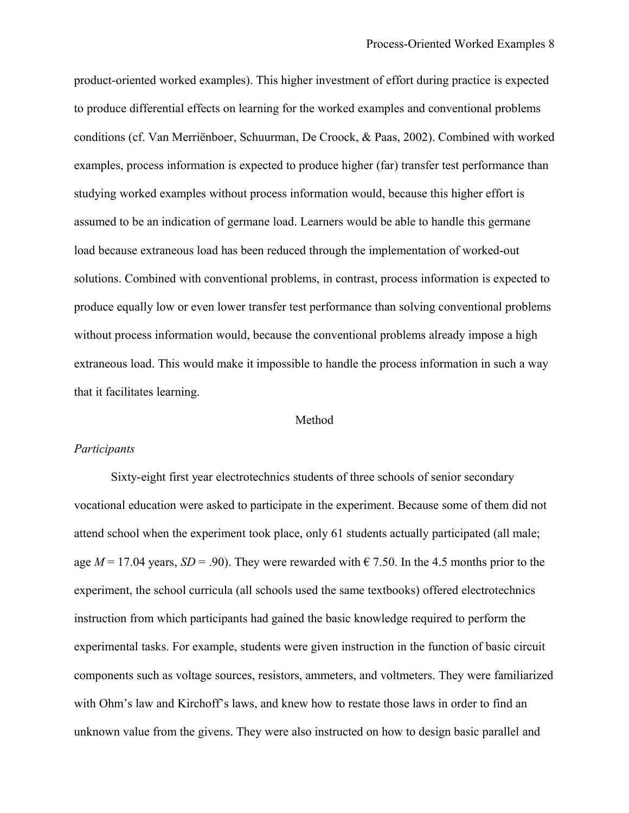product-oriented worked examples). This higher investment of effort during practice is expected to produce differential effects on learning for the worked examples and conventional problems conditions (cf. Van Merriënboer, Schuurman, De Croock, & Paas, 2002). Combined with worked examples, process information is expected to produce higher (far) transfer test performance than studying worked examples without process information would, because this higher effort is assumed to be an indication of germane load. Learners would be able to handle this germane load because extraneous load has been reduced through the implementation of worked-out solutions. Combined with conventional problems, in contrast, process information is expected to produce equally low or even lower transfer test performance than solving conventional problems without process information would, because the conventional problems already impose a high extraneous load. This would make it impossible to handle the process information in such a way that it facilitates learning.

#### Method

### *Participants*

Sixty-eight first year electrotechnics students of three schools of senior secondary vocational education were asked to participate in the experiment. Because some of them did not attend school when the experiment took place, only 61 students actually participated (all male; age  $M = 17.04$  years,  $SD = .90$ ). They were rewarded with  $\epsilon$  7.50. In the 4.5 months prior to the experiment, the school curricula (all schools used the same textbooks) offered electrotechnics instruction from which participants had gained the basic knowledge required to perform the experimental tasks. For example, students were given instruction in the function of basic circuit components such as voltage sources, resistors, ammeters, and voltmeters. They were familiarized with Ohm's law and Kirchoff's laws, and knew how to restate those laws in order to find an unknown value from the givens. They were also instructed on how to design basic parallel and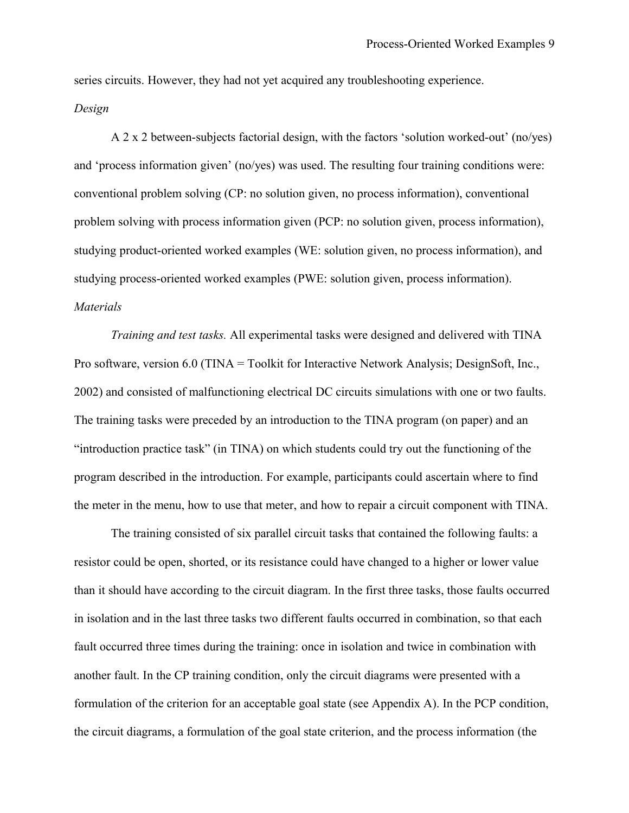series circuits. However, they had not yet acquired any troubleshooting experience.

### *Design*

A 2 x 2 between-subjects factorial design, with the factors 'solution worked-out' (no/yes) and 'process information given' (no/yes) was used. The resulting four training conditions were: conventional problem solving (CP: no solution given, no process information), conventional problem solving with process information given (PCP: no solution given, process information), studying product-oriented worked examples (WE: solution given, no process information), and studying process-oriented worked examples (PWE: solution given, process information). *Materials*

*Training and test tasks.* All experimental tasks were designed and delivered with TINA Pro software, version 6.0 (TINA = Toolkit for Interactive Network Analysis; DesignSoft, Inc., 2002) and consisted of malfunctioning electrical DC circuits simulations with one or two faults. The training tasks were preceded by an introduction to the TINA program (on paper) and an "introduction practice task" (in TINA) on which students could try out the functioning of the program described in the introduction. For example, participants could ascertain where to find the meter in the menu, how to use that meter, and how to repair a circuit component with TINA.

The training consisted of six parallel circuit tasks that contained the following faults: a resistor could be open, shorted, or its resistance could have changed to a higher or lower value than it should have according to the circuit diagram. In the first three tasks, those faults occurred in isolation and in the last three tasks two different faults occurred in combination, so that each fault occurred three times during the training: once in isolation and twice in combination with another fault. In the CP training condition, only the circuit diagrams were presented with a formulation of the criterion for an acceptable goal state (see Appendix A). In the PCP condition, the circuit diagrams, a formulation of the goal state criterion, and the process information (the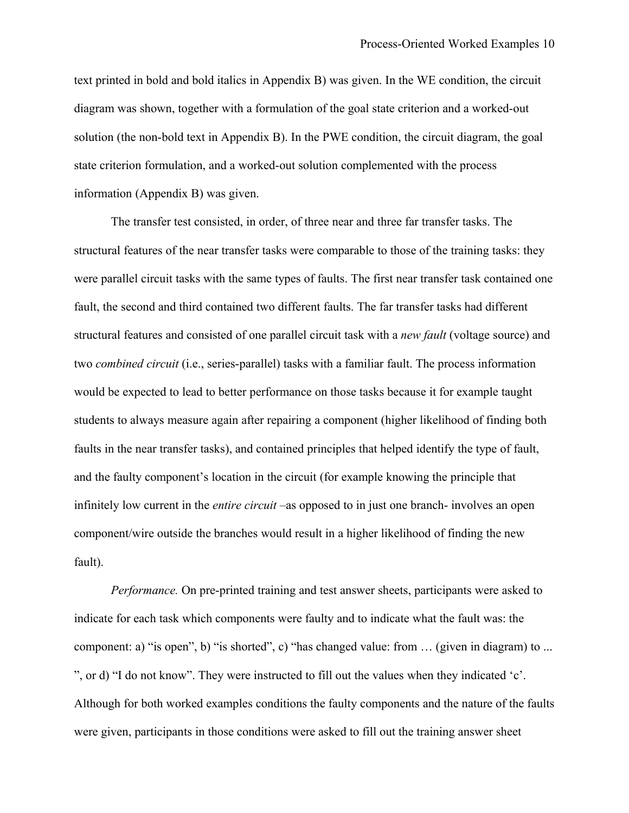text printed in bold and bold italics in Appendix B) was given. In the WE condition, the circuit diagram was shown, together with a formulation of the goal state criterion and a worked-out solution (the non-bold text in Appendix B). In the PWE condition, the circuit diagram, the goal state criterion formulation, and a worked-out solution complemented with the process information (Appendix B) was given.

The transfer test consisted, in order, of three near and three far transfer tasks. The structural features of the near transfer tasks were comparable to those of the training tasks: they were parallel circuit tasks with the same types of faults. The first near transfer task contained one fault, the second and third contained two different faults. The far transfer tasks had different structural features and consisted of one parallel circuit task with a *new fault* (voltage source) and two *combined circuit* (i.e., series-parallel) tasks with a familiar fault. The process information would be expected to lead to better performance on those tasks because it for example taught students to always measure again after repairing a component (higher likelihood of finding both faults in the near transfer tasks), and contained principles that helped identify the type of fault, and the faulty component's location in the circuit (for example knowing the principle that infinitely low current in the *entire circuit* –as opposed to in just one branch- involves an open component/wire outside the branches would result in a higher likelihood of finding the new fault).

*Performance.* On pre-printed training and test answer sheets, participants were asked to indicate for each task which components were faulty and to indicate what the fault was: the component: a) "is open", b) "is shorted", c) "has changed value: from … (given in diagram) to ... ", or d) "I do not know". They were instructed to fill out the values when they indicated 'c'. Although for both worked examples conditions the faulty components and the nature of the faults were given, participants in those conditions were asked to fill out the training answer sheet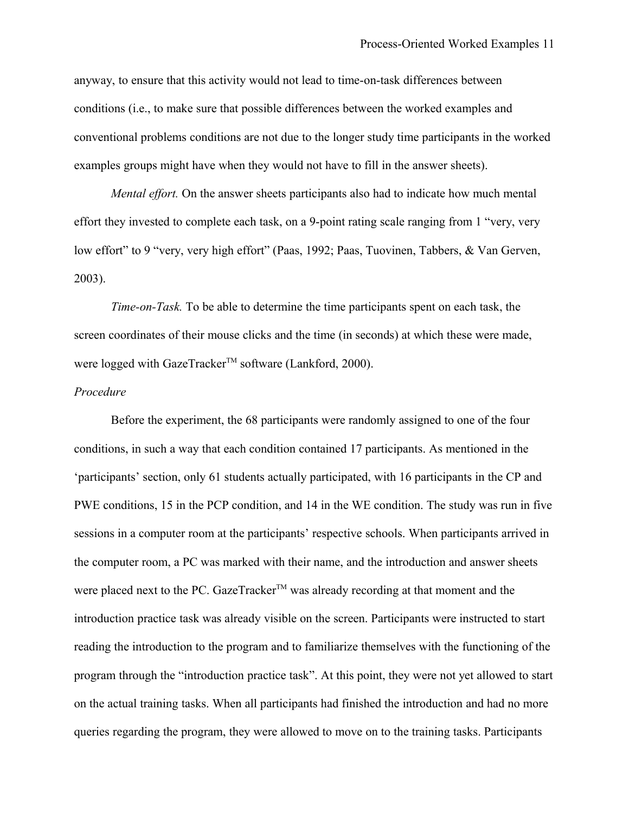anyway, to ensure that this activity would not lead to time-on-task differences between conditions (i.e., to make sure that possible differences between the worked examples and conventional problems conditions are not due to the longer study time participants in the worked examples groups might have when they would not have to fill in the answer sheets).

*Mental effort.* On the answer sheets participants also had to indicate how much mental effort they invested to complete each task, on a 9-point rating scale ranging from 1 "very, very low effort" to 9 "very, very high effort" (Paas, 1992; Paas, Tuovinen, Tabbers, & Van Gerven, 2003).

*Time-on-Task.* To be able to determine the time participants spent on each task, the screen coordinates of their mouse clicks and the time (in seconds) at which these were made, were logged with GazeTracker<sup>™</sup> software (Lankford, 2000).

### *Procedure*

Before the experiment, the 68 participants were randomly assigned to one of the four conditions, in such a way that each condition contained 17 participants. As mentioned in the 'participants' section, only 61 students actually participated, with 16 participants in the CP and PWE conditions, 15 in the PCP condition, and 14 in the WE condition. The study was run in five sessions in a computer room at the participants' respective schools. When participants arrived in the computer room, a PC was marked with their name, and the introduction and answer sheets were placed next to the PC. GazeTracker<sup>TM</sup> was already recording at that moment and the introduction practice task was already visible on the screen. Participants were instructed to start reading the introduction to the program and to familiarize themselves with the functioning of the program through the "introduction practice task". At this point, they were not yet allowed to start on the actual training tasks. When all participants had finished the introduction and had no more queries regarding the program, they were allowed to move on to the training tasks. Participants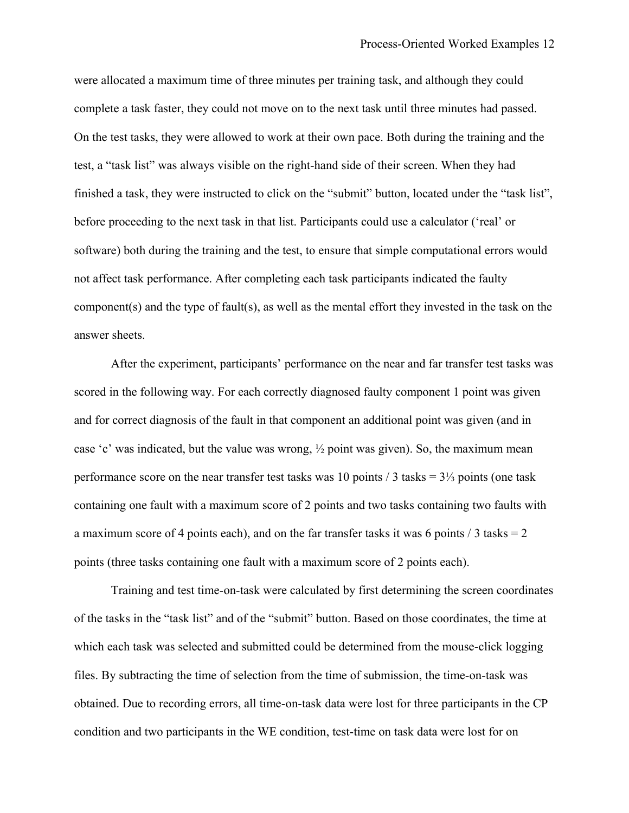were allocated a maximum time of three minutes per training task, and although they could complete a task faster, they could not move on to the next task until three minutes had passed. On the test tasks, they were allowed to work at their own pace. Both during the training and the test, a "task list" was always visible on the right-hand side of their screen. When they had finished a task, they were instructed to click on the "submit" button, located under the "task list", before proceeding to the next task in that list. Participants could use a calculator ('real' or software) both during the training and the test, to ensure that simple computational errors would not affect task performance. After completing each task participants indicated the faulty component(s) and the type of fault(s), as well as the mental effort they invested in the task on the answer sheets.

After the experiment, participants' performance on the near and far transfer test tasks was scored in the following way. For each correctly diagnosed faulty component 1 point was given and for correct diagnosis of the fault in that component an additional point was given (and in case 'c' was indicated, but the value was wrong, ½ point was given). So, the maximum mean performance score on the near transfer test tasks was 10 points / 3 tasks = 3⅓ points (one task containing one fault with a maximum score of 2 points and two tasks containing two faults with a maximum score of 4 points each), and on the far transfer tasks it was 6 points  $\frac{1}{3}$  tasks = 2 points (three tasks containing one fault with a maximum score of 2 points each).

Training and test time-on-task were calculated by first determining the screen coordinates of the tasks in the "task list" and of the "submit" button. Based on those coordinates, the time at which each task was selected and submitted could be determined from the mouse-click logging files. By subtracting the time of selection from the time of submission, the time-on-task was obtained. Due to recording errors, all time-on-task data were lost for three participants in the CP condition and two participants in the WE condition, test-time on task data were lost for on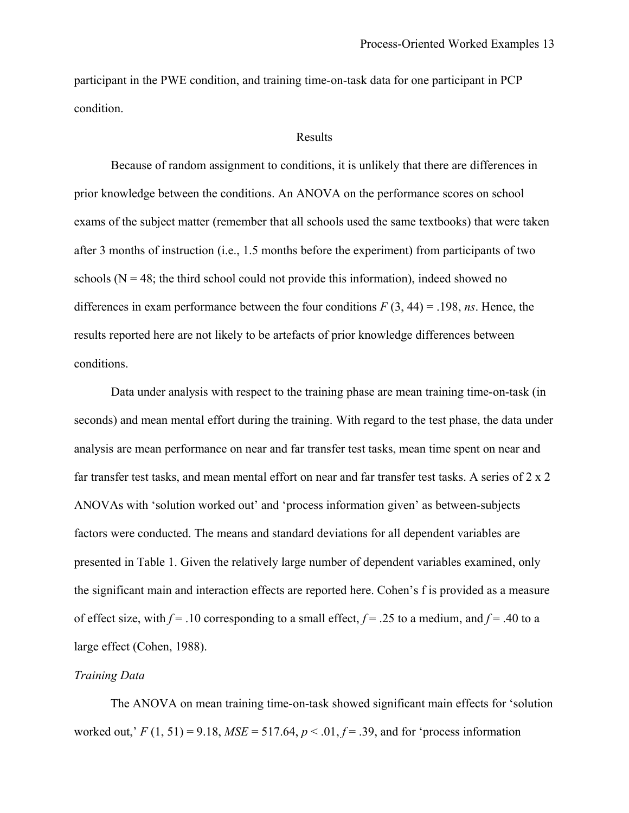participant in the PWE condition, and training time-on-task data for one participant in PCP condition.

#### Results

Because of random assignment to conditions, it is unlikely that there are differences in prior knowledge between the conditions. An ANOVA on the performance scores on school exams of the subject matter (remember that all schools used the same textbooks) that were taken after 3 months of instruction (i.e., 1.5 months before the experiment) from participants of two schools  $(N = 48$ ; the third school could not provide this information), indeed showed no differences in exam performance between the four conditions  $F(3, 44) = .198$ , *ns*. Hence, the results reported here are not likely to be artefacts of prior knowledge differences between conditions.

Data under analysis with respect to the training phase are mean training time-on-task (in seconds) and mean mental effort during the training. With regard to the test phase, the data under analysis are mean performance on near and far transfer test tasks, mean time spent on near and far transfer test tasks, and mean mental effort on near and far transfer test tasks. A series of 2 x 2 ANOVAs with 'solution worked out' and 'process information given' as between-subjects factors were conducted. The means and standard deviations for all dependent variables are presented in Table 1. Given the relatively large number of dependent variables examined, only the significant main and interaction effects are reported here. Cohen's f is provided as a measure of effect size, with  $f = .10$  corresponding to a small effect,  $f = .25$  to a medium, and  $f = .40$  to a large effect (Cohen, 1988).

### *Training Data*

The ANOVA on mean training time-on-task showed significant main effects for 'solution worked out,'  $F(1, 51) = 9.18$ ,  $MSE = 517.64$ ,  $p < .01$ ,  $f = .39$ , and for 'process information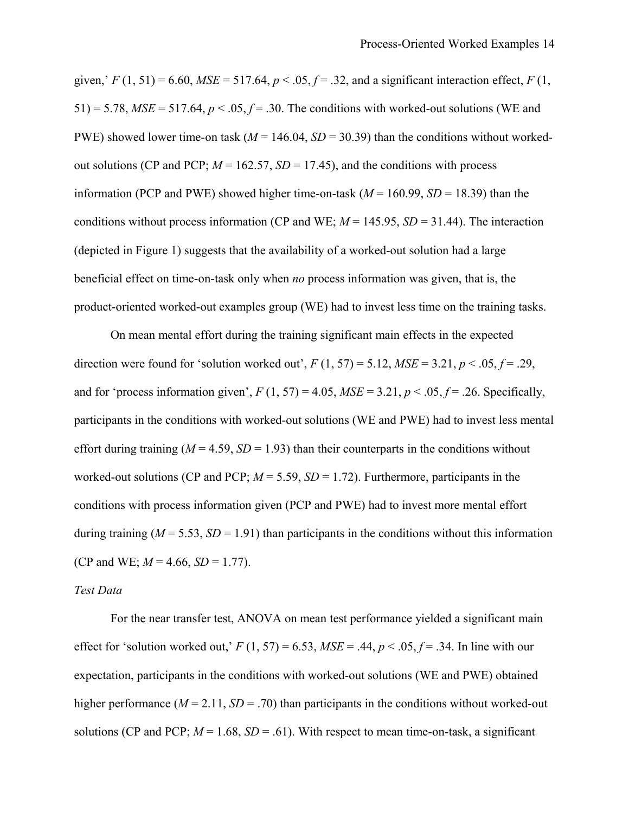given,'  $F(1, 51) = 6.60$ ,  $MSE = 517.64$ ,  $p < .05$ ,  $f = .32$ , and a significant interaction effect,  $F(1, 51)$  $51$ ) = 5.78,  $MSE = 517.64$ ,  $p < .05$ ,  $f = .30$ . The conditions with worked-out solutions (WE and PWE) showed lower time-on task ( $M = 146.04$ ,  $SD = 30.39$ ) than the conditions without workedout solutions (CP and PCP;  $M = 162.57$ ,  $SD = 17.45$ ), and the conditions with process information (PCP and PWE) showed higher time-on-task ( $M = 160.99$ ,  $SD = 18.39$ ) than the conditions without process information (CP and WE;  $M = 145.95$ ,  $SD = 31.44$ ). The interaction (depicted in Figure 1) suggests that the availability of a worked-out solution had a large beneficial effect on time-on-task only when *no* process information was given, that is, the product-oriented worked-out examples group (WE) had to invest less time on the training tasks.

On mean mental effort during the training significant main effects in the expected direction were found for 'solution worked out',  $F(1, 57) = 5.12$ ,  $MSE = 3.21$ ,  $p < .05$ ,  $f = .29$ , and for 'process information given',  $F(1, 57) = 4.05$ ,  $MSE = 3.21$ ,  $p < .05$ ,  $f = .26$ . Specifically, participants in the conditions with worked-out solutions (WE and PWE) had to invest less mental effort during training  $(M = 4.59, SD = 1.93)$  than their counterparts in the conditions without worked-out solutions (CP and PCP;  $M = 5.59$ ,  $SD = 1.72$ ). Furthermore, participants in the conditions with process information given (PCP and PWE) had to invest more mental effort during training ( $M = 5.53$ ,  $SD = 1.91$ ) than participants in the conditions without this information (CP and WE;  $M = 4.66$ ,  $SD = 1.77$ ).

#### *Test Data*

For the near transfer test, ANOVA on mean test performance yielded a significant main effect for 'solution worked out,'  $F(1, 57) = 6.53$ ,  $MSE = .44$ ,  $p < .05$ ,  $f = .34$ . In line with our expectation, participants in the conditions with worked-out solutions (WE and PWE) obtained higher performance ( $M = 2.11$ ,  $SD = .70$ ) than participants in the conditions without worked-out solutions (CP and PCP;  $M = 1.68$ ,  $SD = .61$ ). With respect to mean time-on-task, a significant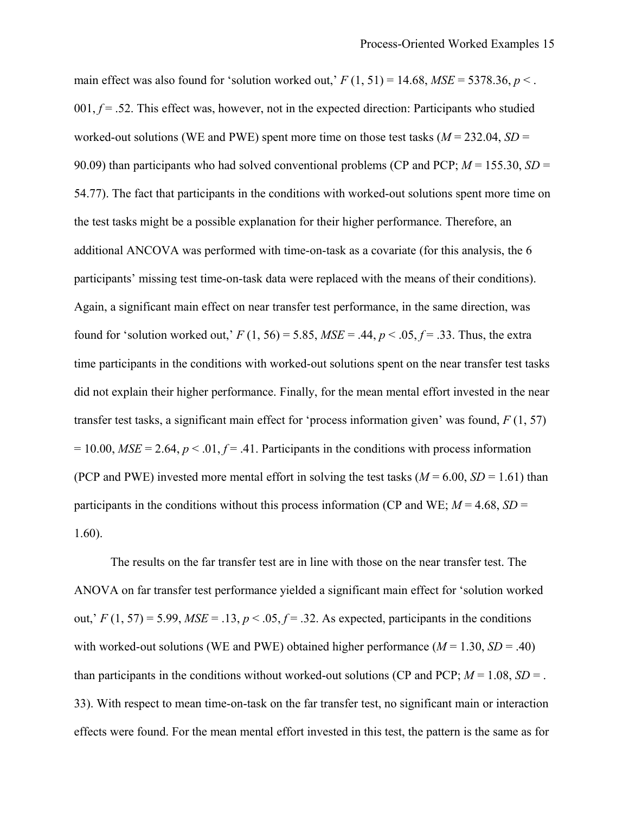main effect was also found for 'solution worked out,'  $F(1, 51) = 14.68$ ,  $MSE = 5378.36$ ,  $p <$ .  $001, f = .52$ . This effect was, however, not in the expected direction: Participants who studied worked-out solutions (WE and PWE) spent more time on those test tasks ( $M = 232.04$ ,  $SD =$ 90.09) than participants who had solved conventional problems (CP and PCP; *M* = 155.30, *SD* = 54.77). The fact that participants in the conditions with worked-out solutions spent more time on the test tasks might be a possible explanation for their higher performance. Therefore, an additional ANCOVA was performed with time-on-task as a covariate (for this analysis, the 6 participants' missing test time-on-task data were replaced with the means of their conditions). Again, a significant main effect on near transfer test performance, in the same direction, was found for 'solution worked out,'  $F(1, 56) = 5.85$ ,  $MSE = .44$ ,  $p < .05$ ,  $f = .33$ . Thus, the extra time participants in the conditions with worked-out solutions spent on the near transfer test tasks did not explain their higher performance. Finally, for the mean mental effort invested in the near transfer test tasks, a significant main effect for 'process information given' was found, *F* (1, 57)  $= 10.00$ , *MSE* = 2.64,  $p < 0.01$ ,  $f = 0.41$ . Participants in the conditions with process information (PCP and PWE) invested more mental effort in solving the test tasks ( $M = 6.00$ ,  $SD = 1.61$ ) than participants in the conditions without this process information (CP and WE;  $M = 4.68$ ,  $SD =$ 1.60).

The results on the far transfer test are in line with those on the near transfer test. The ANOVA on far transfer test performance yielded a significant main effect for 'solution worked out,'  $F(1, 57) = 5.99$ ,  $MSE = .13$ ,  $p < .05$ ,  $f = .32$ . As expected, participants in the conditions with worked-out solutions (WE and PWE) obtained higher performance  $(M = 1.30, SD = .40)$ than participants in the conditions without worked-out solutions (CP and PCP;  $M = 1.08$ ,  $SD =$ . 33). With respect to mean time-on-task on the far transfer test, no significant main or interaction effects were found. For the mean mental effort invested in this test, the pattern is the same as for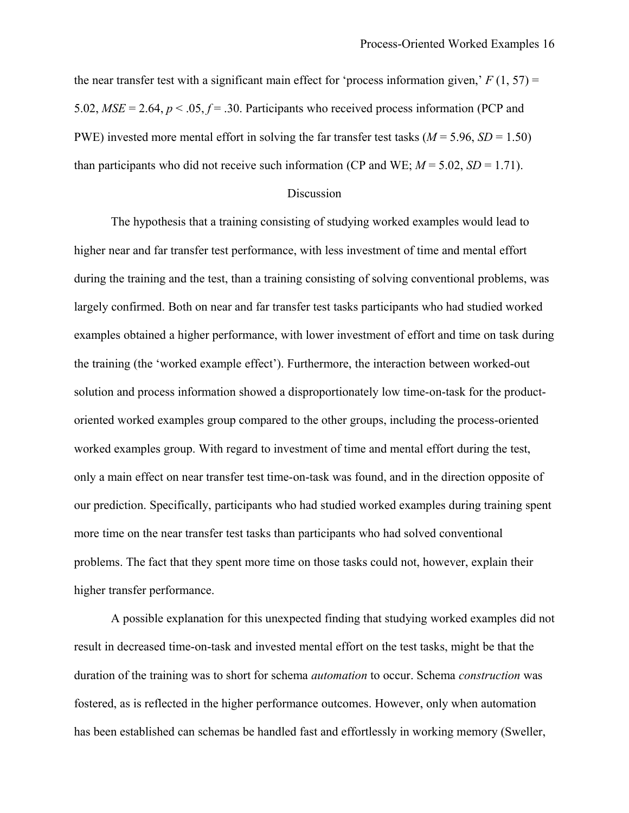the near transfer test with a significant main effect for 'process information given,'  $F(1, 57) =$ 5.02,  $MSE = 2.64$ ,  $p < .05$ ,  $f = .30$ . Participants who received process information (PCP and PWE) invested more mental effort in solving the far transfer test tasks ( $M = 5.96$ ,  $SD = 1.50$ ) than participants who did not receive such information (CP and WE;  $M = 5.02$ ,  $SD = 1.71$ ).

### Discussion

The hypothesis that a training consisting of studying worked examples would lead to higher near and far transfer test performance, with less investment of time and mental effort during the training and the test, than a training consisting of solving conventional problems, was largely confirmed. Both on near and far transfer test tasks participants who had studied worked examples obtained a higher performance, with lower investment of effort and time on task during the training (the 'worked example effect'). Furthermore, the interaction between worked-out solution and process information showed a disproportionately low time-on-task for the productoriented worked examples group compared to the other groups, including the process-oriented worked examples group. With regard to investment of time and mental effort during the test, only a main effect on near transfer test time-on-task was found, and in the direction opposite of our prediction. Specifically, participants who had studied worked examples during training spent more time on the near transfer test tasks than participants who had solved conventional problems. The fact that they spent more time on those tasks could not, however, explain their higher transfer performance.

A possible explanation for this unexpected finding that studying worked examples did not result in decreased time-on-task and invested mental effort on the test tasks, might be that the duration of the training was to short for schema *automation* to occur. Schema *construction* was fostered, as is reflected in the higher performance outcomes. However, only when automation has been established can schemas be handled fast and effortlessly in working memory (Sweller,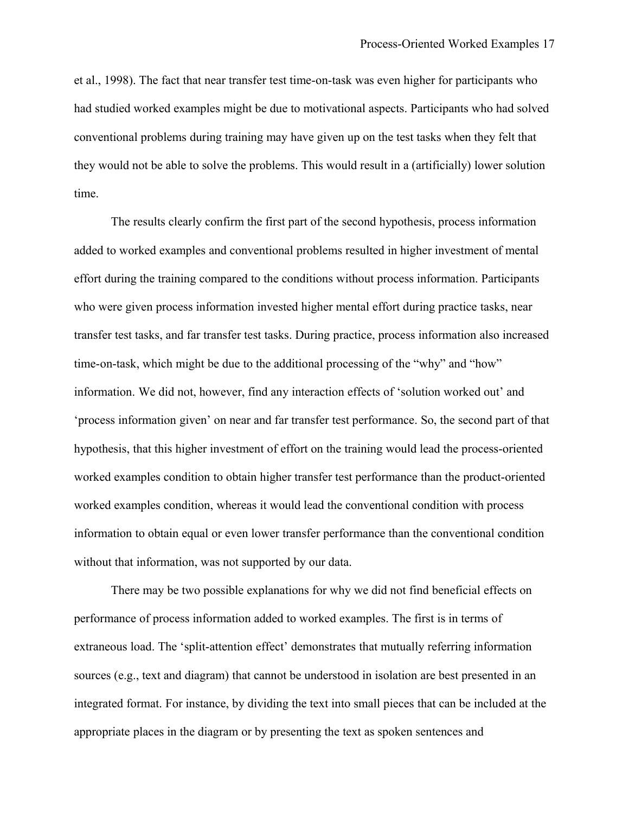et al., 1998). The fact that near transfer test time-on-task was even higher for participants who had studied worked examples might be due to motivational aspects. Participants who had solved conventional problems during training may have given up on the test tasks when they felt that they would not be able to solve the problems. This would result in a (artificially) lower solution time.

The results clearly confirm the first part of the second hypothesis, process information added to worked examples and conventional problems resulted in higher investment of mental effort during the training compared to the conditions without process information. Participants who were given process information invested higher mental effort during practice tasks, near transfer test tasks, and far transfer test tasks. During practice, process information also increased time-on-task, which might be due to the additional processing of the "why" and "how" information. We did not, however, find any interaction effects of 'solution worked out' and 'process information given' on near and far transfer test performance. So, the second part of that hypothesis, that this higher investment of effort on the training would lead the process-oriented worked examples condition to obtain higher transfer test performance than the product-oriented worked examples condition, whereas it would lead the conventional condition with process information to obtain equal or even lower transfer performance than the conventional condition without that information, was not supported by our data.

There may be two possible explanations for why we did not find beneficial effects on performance of process information added to worked examples. The first is in terms of extraneous load. The 'split-attention effect' demonstrates that mutually referring information sources (e.g., text and diagram) that cannot be understood in isolation are best presented in an integrated format. For instance, by dividing the text into small pieces that can be included at the appropriate places in the diagram or by presenting the text as spoken sentences and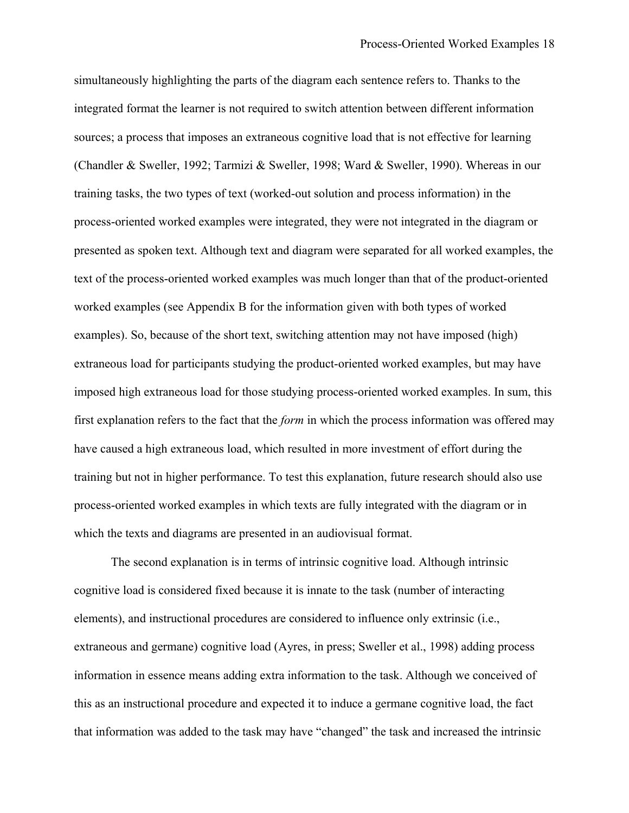simultaneously highlighting the parts of the diagram each sentence refers to. Thanks to the integrated format the learner is not required to switch attention between different information sources; a process that imposes an extraneous cognitive load that is not effective for learning (Chandler & Sweller, 1992; Tarmizi & Sweller, 1998; Ward & Sweller, 1990). Whereas in our training tasks, the two types of text (worked-out solution and process information) in the process-oriented worked examples were integrated, they were not integrated in the diagram or presented as spoken text. Although text and diagram were separated for all worked examples, the text of the process-oriented worked examples was much longer than that of the product-oriented worked examples (see Appendix B for the information given with both types of worked examples). So, because of the short text, switching attention may not have imposed (high) extraneous load for participants studying the product-oriented worked examples, but may have imposed high extraneous load for those studying process-oriented worked examples. In sum, this first explanation refers to the fact that the *form* in which the process information was offered may have caused a high extraneous load, which resulted in more investment of effort during the training but not in higher performance. To test this explanation, future research should also use process-oriented worked examples in which texts are fully integrated with the diagram or in which the texts and diagrams are presented in an audiovisual format.

The second explanation is in terms of intrinsic cognitive load. Although intrinsic cognitive load is considered fixed because it is innate to the task (number of interacting elements), and instructional procedures are considered to influence only extrinsic (i.e., extraneous and germane) cognitive load (Ayres, in press; Sweller et al., 1998) adding process information in essence means adding extra information to the task. Although we conceived of this as an instructional procedure and expected it to induce a germane cognitive load, the fact that information was added to the task may have "changed" the task and increased the intrinsic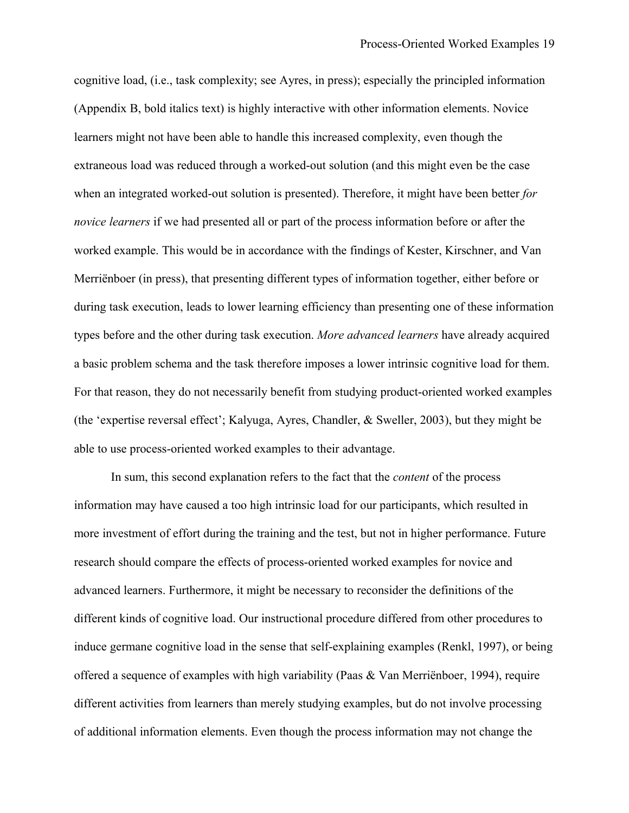cognitive load, (i.e., task complexity; see Ayres, in press); especially the principled information (Appendix B, bold italics text) is highly interactive with other information elements. Novice learners might not have been able to handle this increased complexity, even though the extraneous load was reduced through a worked-out solution (and this might even be the case when an integrated worked-out solution is presented). Therefore, it might have been better *for novice learners* if we had presented all or part of the process information before or after the worked example. This would be in accordance with the findings of Kester, Kirschner, and Van Merriënboer (in press), that presenting different types of information together, either before or during task execution, leads to lower learning efficiency than presenting one of these information types before and the other during task execution. *More advanced learners* have already acquired a basic problem schema and the task therefore imposes a lower intrinsic cognitive load for them. For that reason, they do not necessarily benefit from studying product-oriented worked examples (the 'expertise reversal effect'; Kalyuga, Ayres, Chandler, & Sweller, 2003), but they might be able to use process-oriented worked examples to their advantage.

In sum, this second explanation refers to the fact that the *content* of the process information may have caused a too high intrinsic load for our participants, which resulted in more investment of effort during the training and the test, but not in higher performance. Future research should compare the effects of process-oriented worked examples for novice and advanced learners. Furthermore, it might be necessary to reconsider the definitions of the different kinds of cognitive load. Our instructional procedure differed from other procedures to induce germane cognitive load in the sense that self-explaining examples (Renkl, 1997), or being offered a sequence of examples with high variability (Paas & Van Merriënboer, 1994), require different activities from learners than merely studying examples, but do not involve processing of additional information elements. Even though the process information may not change the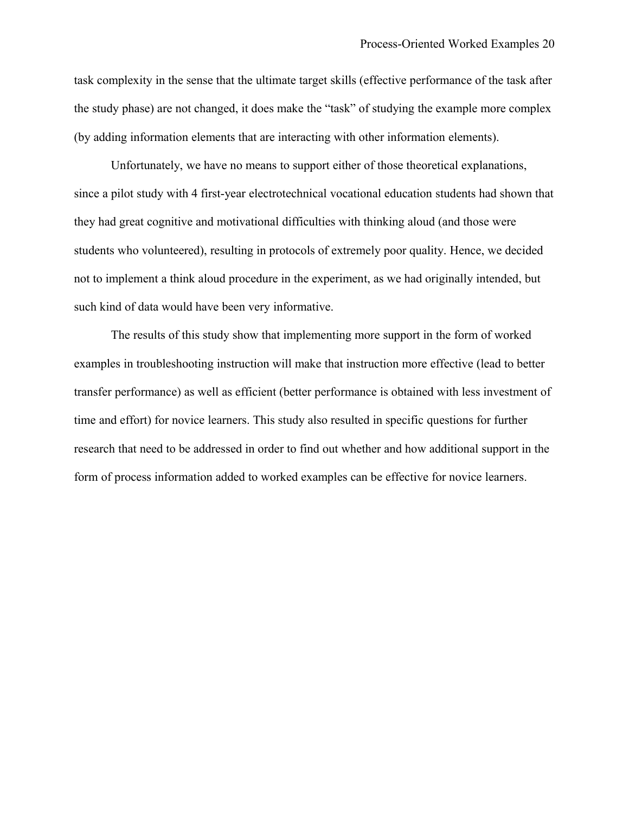task complexity in the sense that the ultimate target skills (effective performance of the task after the study phase) are not changed, it does make the "task" of studying the example more complex (by adding information elements that are interacting with other information elements).

Unfortunately, we have no means to support either of those theoretical explanations, since a pilot study with 4 first-year electrotechnical vocational education students had shown that they had great cognitive and motivational difficulties with thinking aloud (and those were students who volunteered), resulting in protocols of extremely poor quality. Hence, we decided not to implement a think aloud procedure in the experiment, as we had originally intended, but such kind of data would have been very informative.

The results of this study show that implementing more support in the form of worked examples in troubleshooting instruction will make that instruction more effective (lead to better transfer performance) as well as efficient (better performance is obtained with less investment of time and effort) for novice learners. This study also resulted in specific questions for further research that need to be addressed in order to find out whether and how additional support in the form of process information added to worked examples can be effective for novice learners.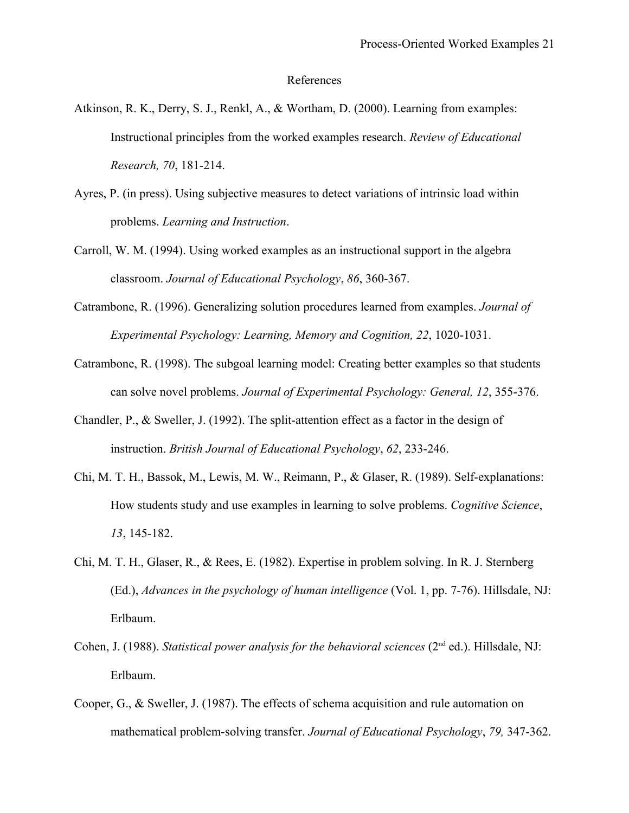#### References

- Atkinson, R. K., Derry, S. J., Renkl, A., & Wortham, D. (2000). Learning from examples: Instructional principles from the worked examples research. *Review of Educational Research, 70*, 181-214.
- Ayres, P. (in press). Using subjective measures to detect variations of intrinsic load within problems. *Learning and Instruction*.
- Carroll, W. M. (1994). Using worked examples as an instructional support in the algebra classroom. *Journal of Educational Psychology*, *86*, 360-367.
- Catrambone, R. (1996). Generalizing solution procedures learned from examples. *Journal of Experimental Psychology: Learning, Memory and Cognition, 22*, 1020-1031.
- Catrambone, R. (1998). The subgoal learning model: Creating better examples so that students can solve novel problems. *Journal of Experimental Psychology: General, 12*, 355-376.
- Chandler, P., & Sweller, J. (1992). The split-attention effect as a factor in the design of instruction. *British Journal of Educational Psychology*, *62*, 233-246.
- Chi, M. T. H., Bassok, M., Lewis, M. W., Reimann, P., & Glaser, R. (1989). Self-explanations: How students study and use examples in learning to solve problems. *Cognitive Science*, *13*, 145-182.
- Chi, M. T. H., Glaser, R., & Rees, E. (1982). Expertise in problem solving. In R. J. Sternberg (Ed.), *Advances in the psychology of human intelligence* (Vol. 1, pp. 7-76). Hillsdale, NJ: Erlbaum.
- Cohen, J. (1988). *Statistical power analysis for the behavioral sciences* (2<sup>nd</sup> ed.). Hillsdale, NJ: Erlbaum.
- Cooper, G., & Sweller, J. (1987). The effects of schema acquisition and rule automation on mathematical problem-solving transfer. *Journal of Educational Psychology*, *79,* 347-362.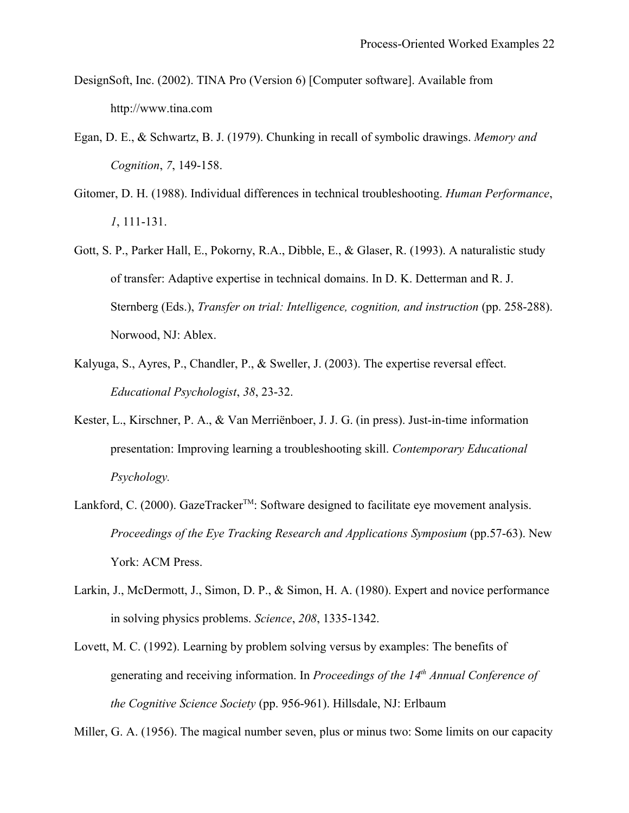- DesignSoft, Inc. (2002). TINA Pro (Version 6) [Computer software]. Available from http://www.tina.com
- Egan, D. E., & Schwartz, B. J. (1979). Chunking in recall of symbolic drawings. *Memory and Cognition*, *7*, 149-158.
- Gitomer, D. H. (1988). Individual differences in technical troubleshooting. *Human Performance*, *1*, 111-131.
- Gott, S. P., Parker Hall, E., Pokorny, R.A., Dibble, E., & Glaser, R. (1993). A naturalistic study of transfer: Adaptive expertise in technical domains. In D. K. Detterman and R. J. Sternberg (Eds.), *Transfer on trial: Intelligence, cognition, and instruction* (pp. 258-288). Norwood, NJ: Ablex.
- Kalyuga, S., Ayres, P., Chandler, P., & Sweller, J. (2003). The expertise reversal effect. *Educational Psychologist*, *38*, 23-32.
- Kester, L., Kirschner, P. A., & Van Merriënboer, J. J. G. (in press). Just-in-time information presentation: Improving learning a troubleshooting skill. *Contemporary Educational Psychology.*
- Lankford, C. (2000). GazeTracker<sup>TM</sup>: Software designed to facilitate eye movement analysis. *Proceedings of the Eye Tracking Research and Applications Symposium* (pp.57-63). New York: ACM Press.
- Larkin, J., McDermott, J., Simon, D. P., & Simon, H. A. (1980). Expert and novice performance in solving physics problems. *Science*, *208*, 1335-1342.
- Lovett, M. C. (1992). Learning by problem solving versus by examples: The benefits of generating and receiving information. In *Proceedings of the 14th Annual Conference of the Cognitive Science Society* (pp. 956-961). Hillsdale, NJ: Erlbaum

Miller, G. A. (1956). The magical number seven, plus or minus two: Some limits on our capacity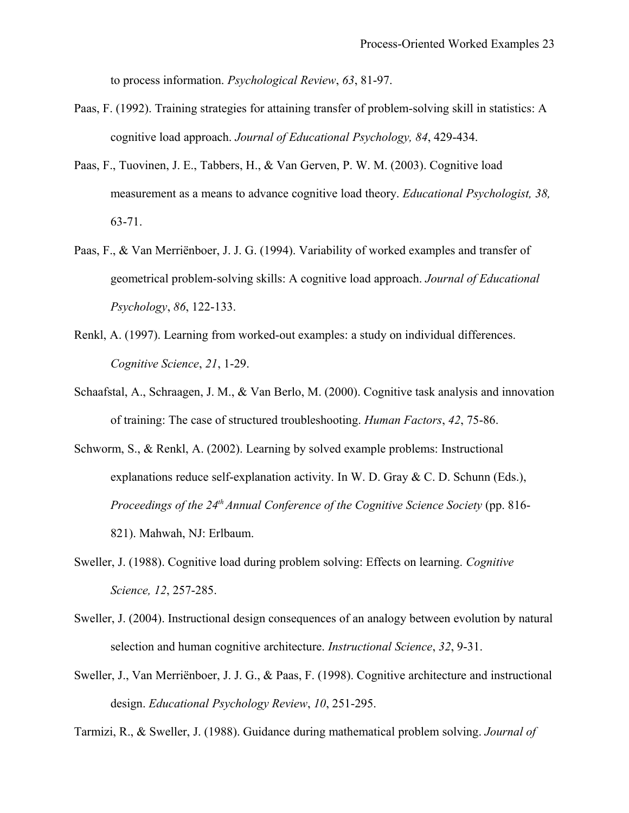to process information. *Psychological Review*, *63*, 81-97.

- Paas, F. (1992). Training strategies for attaining transfer of problem-solving skill in statistics: A cognitive load approach. *Journal of Educational Psychology, 84*, 429-434.
- Paas, F., Tuovinen, J. E., Tabbers, H., & Van Gerven, P. W. M. (2003). Cognitive load measurement as a means to advance cognitive load theory. *Educational Psychologist, 38,* 63-71.
- Paas, F., & Van Merriënboer, J. J. G. (1994). Variability of worked examples and transfer of geometrical problem-solving skills: A cognitive load approach. *Journal of Educational Psychology*, *86*, 122-133.
- Renkl, A. (1997). Learning from worked-out examples: a study on individual differences. *Cognitive Science*, *21*, 1-29.
- Schaafstal, A., Schraagen, J. M., & Van Berlo, M. (2000). Cognitive task analysis and innovation of training: The case of structured troubleshooting. *Human Factors*, *42*, 75-86.
- Schworm, S., & Renkl, A. (2002). Learning by solved example problems: Instructional explanations reduce self-explanation activity. In W. D. Gray & C. D. Schunn (Eds.), *Proceedings of the 24th Annual Conference of the Cognitive Science Society* (pp. 816- 821). Mahwah, NJ: Erlbaum.
- Sweller, J. (1988). Cognitive load during problem solving: Effects on learning. *Cognitive Science, 12*, 257-285.
- Sweller, J. (2004). Instructional design consequences of an analogy between evolution by natural selection and human cognitive architecture. *Instructional Science*, *32*, 9-31.
- Sweller, J., Van Merriënboer, J. J. G., & Paas, F. (1998). Cognitive architecture and instructional design. *Educational Psychology Review*, *10*, 251-295.

Tarmizi, R., & Sweller, J. (1988). Guidance during mathematical problem solving. *Journal of*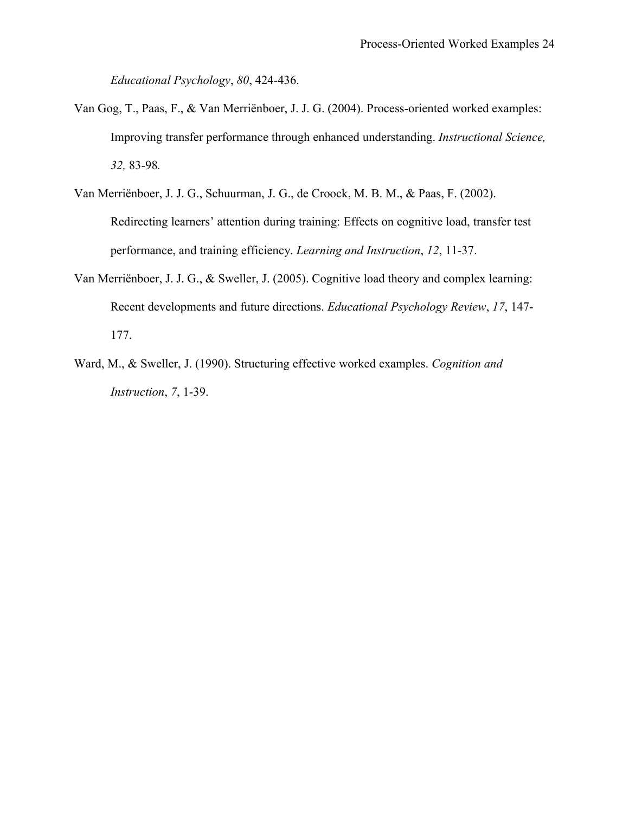*Educational Psychology*, *80*, 424-436.

- Van Gog, T., Paas, F., & Van Merriënboer, J. J. G. (2004). Process-oriented worked examples: Improving transfer performance through enhanced understanding. *Instructional Science, 32,* 83-98*.*
- Van Merriënboer, J. J. G., Schuurman, J. G., de Croock, M. B. M., & Paas, F. (2002). Redirecting learners' attention during training: Effects on cognitive load, transfer test performance, and training efficiency. *Learning and Instruction*, *12*, 11-37.
- Van Merriënboer, J. J. G., & Sweller, J. (2005). Cognitive load theory and complex learning: Recent developments and future directions. *Educational Psychology Review*, *17*, 147- 177.
- Ward, M., & Sweller, J. (1990). Structuring effective worked examples. *Cognition and Instruction*, *7*, 1-39.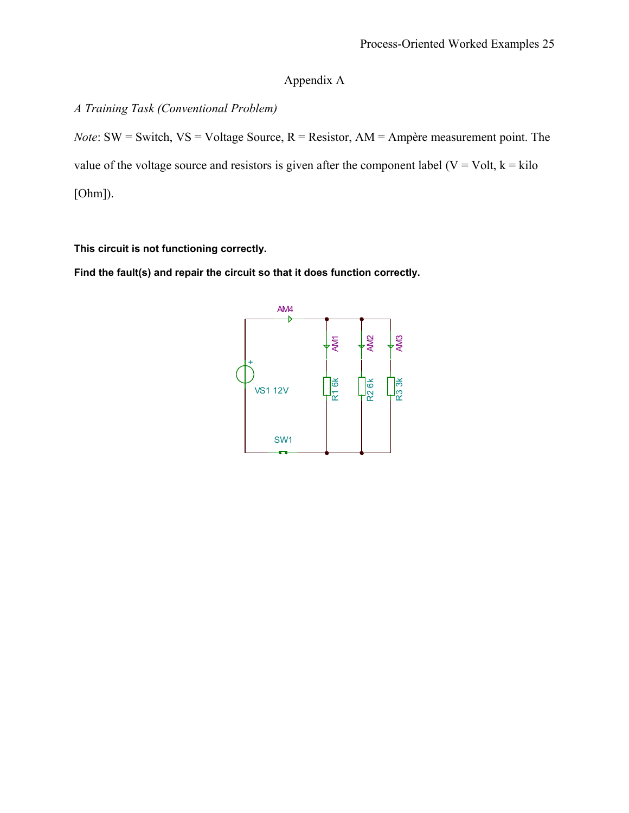## Appendix A

## *A Training Task (Conventional Problem)*

*Note*: SW = Switch, VS = Voltage Source, R = Resistor, AM = Ampère measurement point. The value of the voltage source and resistors is given after the component label ( $V = Volt$ ,  $k = kilo$ [Ohm]).

## **This circuit is not functioning correctly.**

**Find the fault(s) and repair the circuit so that it does function correctly.**

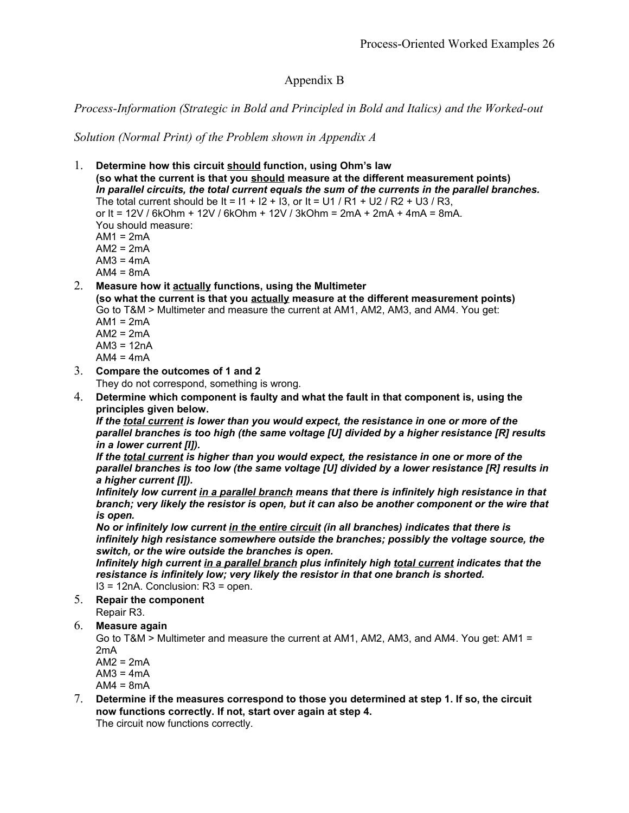## Appendix B

## *Process-Information (Strategic in Bold and Principled in Bold and Italics) and the Worked-out*

*Solution (Normal Print) of the Problem shown in Appendix A*

- 1. **Determine how this circuit should function, using Ohm's law (so what the current is that you should measure at the different measurement points)** *In parallel circuits, the total current equals the sum of the currents in the parallel branches.* The total current should be It =  $11 + 12 + 13$ , or It = U1 / R1 + U2 / R2 + U3 / R3, or It = 12V / 6kOhm + 12V / 6kOhm + 12V / 3kOhm = 2mA + 2mA + 4mA = 8mA. You should measure:  $AM1 = 2mA$ AM2 = 2mA  $AM3 = 4mA$  $AM4 = 8mA$ 2. **Measure how it actually functions, using the Multimeter (so what the current is that you actually measure at the different measurement points)** Go to T&M > Multimeter and measure the current at AM1, AM2, AM3, and AM4. You get:  $AM1 = 2mA$  $AM2 = 2mA$  $AM3 = 12nA$  $AM4 = 4mA$ 3. **Compare the outcomes of 1 and 2** They do not correspond, something is wrong. 4. **Determine which component is faulty and what the fault in that component is, using the principles given below.** *If the total current is lower than you would expect, the resistance in one or more of the parallel branches is too high (the same voltage [U] divided by a higher resistance [R] results in a lower current [I]). If the total current is higher than you would expect, the resistance in one or more of the parallel branches is too low (the same voltage [U] divided by a lower resistance [R] results in a higher current [I]). Infinitely low current in a parallel branch means that there is infinitely high resistance in that branch; very likely the resistor is open, but it can also be another component or the wire that is open. No or infinitely low current in the entire circuit (in all branches) indicates that there is infinitely high resistance somewhere outside the branches; possibly the voltage source, the switch, or the wire outside the branches is open. Infinitely high current in a parallel branch plus infinitely high total current indicates that the resistance is infinitely low; very likely the resistor in that one branch is shorted.* I3 = 12nA. Conclusion: R3 = open. 5. **Repair the component** Repair R3. 6. **Measure again** Go to T&M > Multimeter and measure the current at AM1, AM2, AM3, and AM4. You get: AM1 =
	- 2mA
	- $AM2 = 2mA$
	- $AM3 = 4mA$  $AM4 = 8mA$
	- 7. **Determine if the measures correspond to those you determined at step 1. If so, the circuit now functions correctly. If not, start over again at step 4.** The circuit now functions correctly.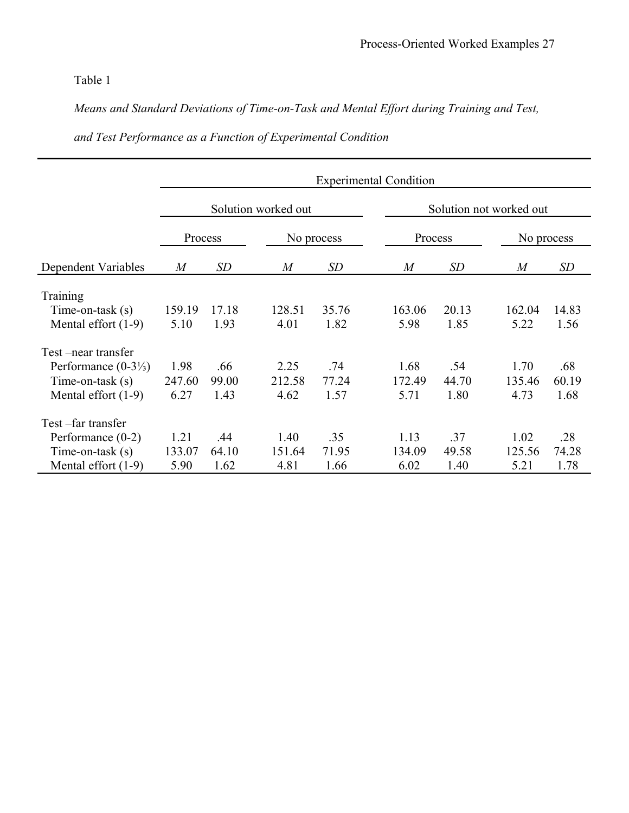# Table 1

*Means and Standard Deviations of Time-on-Task and Mental Effort during Training and Test,*

|                                | <b>Experimental Condition</b> |           |                  |            |  |                         |       |  |                  |           |  |
|--------------------------------|-------------------------------|-----------|------------------|------------|--|-------------------------|-------|--|------------------|-----------|--|
|                                | Solution worked out           |           |                  |            |  | Solution not worked out |       |  |                  |           |  |
|                                | Process                       |           |                  | No process |  | Process                 |       |  | No process       |           |  |
| Dependent Variables            | $\boldsymbol{M}$              | <b>SD</b> | $\boldsymbol{M}$ | SD         |  | $\boldsymbol{M}$        | SD    |  | $\boldsymbol{M}$ | <b>SD</b> |  |
| Training                       |                               |           |                  |            |  |                         |       |  |                  |           |  |
| Time-on-task $(s)$             | 159.19                        | 17.18     | 128.51           | 35.76      |  | 163.06                  | 20.13 |  | 162.04           | 14.83     |  |
| Mental effort $(1-9)$          | 5.10                          | 1.93      | 4.01             | 1.82       |  | 5.98                    | 1.85  |  | 5.22             | 1.56      |  |
|                                |                               |           |                  |            |  |                         |       |  |                  |           |  |
| Test-near transfer             |                               |           |                  |            |  |                         |       |  |                  |           |  |
| Performance $(0-3\frac{1}{3})$ | 1.98                          | .66       | 2.25             | .74        |  | 1.68                    | .54   |  | 1.70             | .68       |  |
| Time-on-task $(s)$             | 247.60                        | 99.00     | 212.58           | 77.24      |  | 172.49                  | 44.70 |  | 135.46           | 60.19     |  |
| Mental effort $(1-9)$          | 6.27                          | 1.43      | 4.62             | 1.57       |  | 5.71                    | 1.80  |  | 4.73             | 1.68      |  |
| Test-far transfer              |                               |           |                  |            |  |                         |       |  |                  |           |  |
| Performance $(0-2)$            | 1.21                          | .44       | 1.40             | .35        |  | 1.13                    | .37   |  | 1.02             | .28       |  |
| Time-on-task $(s)$             | 133.07                        | 64.10     | 151.64           | 71.95      |  | 134.09                  | 49.58 |  | 125.56           | 74.28     |  |
| Mental effort $(1-9)$          | 5.90                          | 1.62      | 4.81             | 1.66       |  | 6.02                    | 1.40  |  | 5.21             | 1.78      |  |

# *and Test Performance as a Function of Experimental Condition*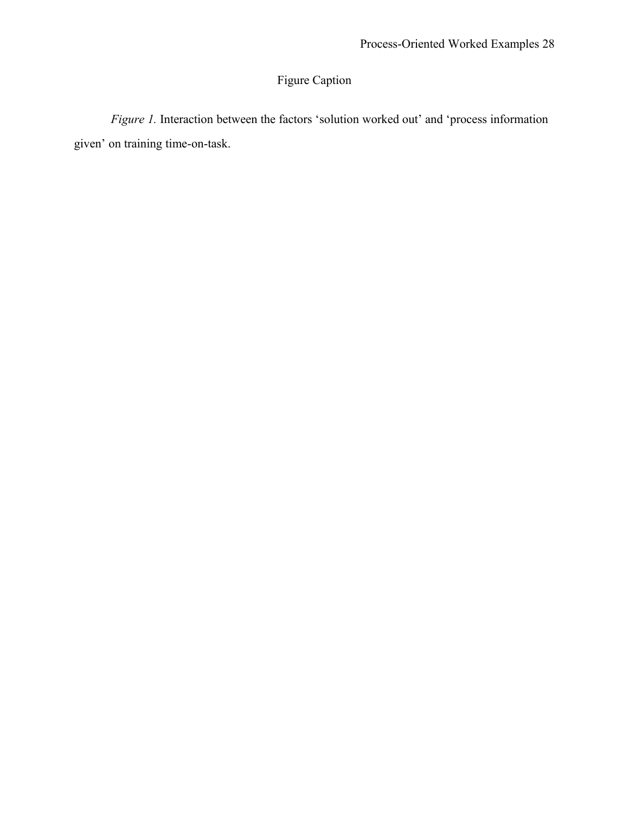# Figure Caption

*Figure 1.* Interaction between the factors 'solution worked out' and 'process information given' on training time-on-task.